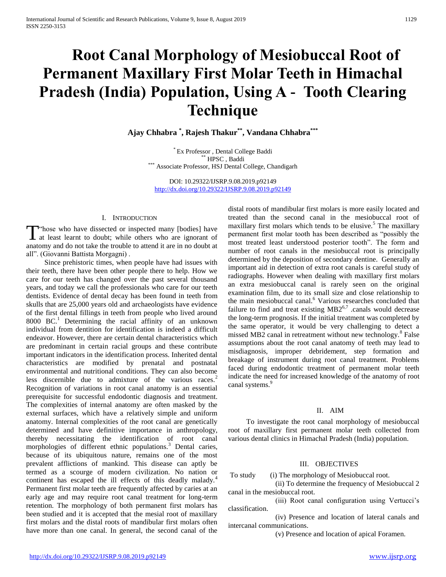# **Root Canal Morphology of Mesiobuccal Root of Permanent Maxillary First Molar Teeth in Himachal Pradesh (India) Population, Using A - Tooth Clearing Technique**

**Ajay Chhabra \* , Rajesh Thakur\*\* , Vandana Chhabra\*\*\***

\* Ex Professor , Dental College Baddi \*\* HPSC , Baddi \*\*\* Associate Professor, HSJ Dental College, Chandigarh

DOI: 10.29322/IJSRP.9.08.2019.p92149 <http://dx.doi.org/10.29322/IJSRP.9.08.2019.p92149>

# I. INTRODUCTION

"hose who have dissected or inspected many [bodies] have T those who have dissected or inspected many [bodies] have at least learnt to doubt; while others who are ignorant of anatomy and do not take the trouble to attend it are in no doubt at all". (Giovanni Battista Morgagni) .

 Since prehistoric times, when people have had issues with their teeth, there have been other people there to help. How we care for our teeth has changed over the past several thousand years, and today we call the professionals who care for our teeth dentists. Evidence of dental decay has been found in teeth from skulls that are 25,000 years old and archaeologists have evidence of the first dental fillings in teeth from people who lived around 8000  $BC<sup>1</sup>$  Determining the racial affinity of an unknown individual from dentition for identification is indeed a difficult endeavor. However, there are certain dental characteristics which are predominant in certain racial groups and these contribute important indicators in the identification process. Inherited dental characteristics are modified by prenatal and postnatal environmental and nutritional conditions. They can also become less discernible due to admixture of the various races.<sup>2</sup> Recognition of variations in root canal anatomy is an essential prerequisite for successful endodontic diagnosis and treatment. The complexities of internal anatomy are often masked by the external surfaces, which have a relatively simple and uniform anatomy. Internal complexities of the root canal are genetically determined and have definitive importance in anthropology, thereby necessitating the identification of root canal morphologies of different ethnic populations.<sup>3</sup> Dental caries, because of its ubiquitous nature, remains one of the most prevalent afflictions of mankind. This disease can aptly be termed as a scourge of modern civilization. No nation or continent has escaped the ill effects of this deadly malady.<sup>4</sup> Permanent first molar teeth are frequently affected by caries at an early age and may require root canal treatment for long-term retention. The morphology of both permanent first molars has been studied and it is accepted that the mesial root of maxillary first molars and the distal roots of mandibular first molars often have more than one canal. In general, the second canal of the

distal roots of mandibular first molars is more easily located and treated than the second canal in the mesiobuccal root of maxillary first molars which tends to be elusive.<sup>5</sup> The maxillary permanent first molar tooth has been described as "possibly the most treated least understood posterior tooth". The form and number of root canals in the mesiobuccal root is principally determined by the deposition of secondary dentine. Generally an important aid in detection of extra root canals is careful study of radiographs. However when dealing with maxillary first molars an extra mesiobuccal canal is rarely seen on the original examination film, due to its small size and close relationship to the main mesiobuccal canal.<sup>6</sup> Various researches concluded that failure to find and treat existing  $MB2^{6,7}$  .canals would decrease the long-term prognosis. If the initial treatment was completed by the same operator, it would be very challenging to detect a missed MB2 canal in retreatment without new technology.<sup>8</sup> False assumptions about the root canal anatomy of teeth may lead to misdiagnosis, improper debridement, step formation and breakage of instrument during root canal treatment. Problems faced during endodontic treatment of permanent molar teeth indicate the need for increased knowledge of the anatomy of root canal systems.<sup>9</sup>

# II. AIM

 To investigate the root canal morphology of mesiobuccal root of maxillary first permanent molar teeth collected from various dental clinics in Himachal Pradesh (India) population.

# III. OBJECTIVES

To study (i) The morphology of Mesiobuccal root.

 (ii) To determine the frequency of Mesiobuccal 2 canal in the mesiobuccal root.

 (iii) Root canal configuration using Vertucci's classification.

 (iv) Presence and location of lateral canals and intercanal communications.

(v) Presence and location of apical Foramen.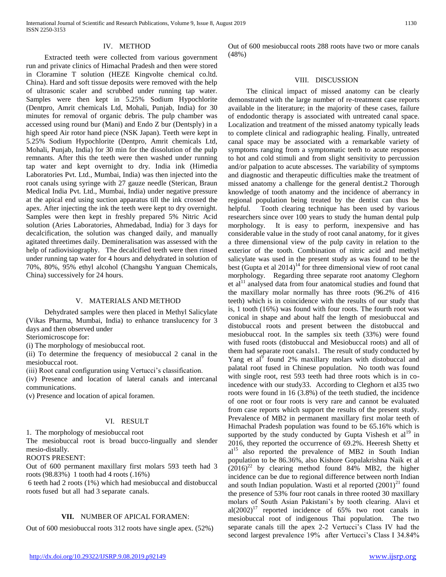# IV. METHOD

 Extracted teeth were collected from various government run and private clinics of Himachal Pradesh and then were stored in Cloramine T solution (HEZE Kingvolte chemical co.ltd. China). Hard and soft tissue deposits were removed with the help of ultrasonic scaler and scrubbed under running tap water. Samples were then kept in 5.25% Sodium Hypochlorite (Dentpro, Amrit chemicals Ltd, Mohali, Punjab, India) for 30 minutes for removal of organic debris. The pulp chamber was accessed using round bur (Mani) and Endo Z bur (Dentsply) in a high speed Air rotor hand piece (NSK Japan). Teeth were kept in 5.25% Sodium Hypochlorite (Dentpro, Amrit chemicals Ltd, Mohali, Punjab, India) for 30 min for the dissolution of the pulp remnants. After this the teeth were then washed under running tap water and kept overnight to dry. India ink (Himedia Laboratories Pvt. Ltd., Mumbai, India) was then injected into the root canals using syringe with 27 gauze needle (Sterican, Braun Medical India Pvt. Ltd., Mumbai, India) under negative pressure at the apical end using suction apparatus till the ink crossed the apex. After injecting the ink the teeth were kept to dry overnight. Samples were then kept in freshly prepared 5% Nitric Acid solution (Aries Laboratories, Ahmedabad, India) for 3 days for decalcification, the solution was changed daily, and manually agitated threetimes daily. Demineralisation was assessed with the help of radiovisiography. The decalcified teeth were then rinsed under running tap water for 4 hours and dehydrated in solution of 70%, 80%, 95% ethyl alcohol (Changshu Yanguan Chemicals, China) successively for 24 hours.

# V. MATERIALS AND METHOD

 Dehydrated samples were then placed in Methyl Salicylate (Vikas Pharma, Mumbai, India) to enhance translucency for 3 days and then observed under

Steriomicroscope for:

(i) The morphology of mesiobuccal root.

(ii) To determine the frequency of mesiobuccal 2 canal in the mesiobuccal root.

(iii) Root canal configuration using Vertucci's classification.

(iv) Presence and location of lateral canals and intercanal communications.

(v) Presence and location of apical foramen.

# VI. RESULT

1. The morphology of mesiobuccal root

The mesiobuccal root is broad bucco-lingually and slender mesio-distally.

ROOTS PRESENT:

Out of 600 permanent maxillary first molars 593 teeth had 3 roots (98.83%) 1 tooth had 4 roots (.16%)

6 teeth had 2 roots (1%) which had mesiobuccal and distobuccal roots fused but all had 3 separate canals.

# **VII.** NUMBER OF APICAL FORAMEN:

Out of 600 mesiobuccal roots 312 roots have single apex. (52%)

Out of 600 mesiobuccal roots 288 roots have two or more canals (48%)

#### VIII. DISCUSSION

 The clinical impact of missed anatomy can be clearly demonstrated with the large number of re-treatment case reports available in the literature; in the majority of these cases, failure of endodontic therapy is associated with untreated canal space. Localization and treatment of the missed anatomy typically leads to complete clinical and radiographic healing. Finally, untreated canal space may be associated with a remarkable variety of symptoms ranging from a symptomatic teeth to acute responses to hot and cold stimuli and from slight sensitivity to percussion and/or palpation to acute abscesses. The variability of symptoms and diagnostic and therapeutic difficulties make the treatment of missed anatomy a challenge for the general dentist.2 Thorough knowledge of tooth anatomy and the incidence of aberrancy in regional population being treated by the dentist can thus be helpful. Tooth clearing technique has been used by various researchers since over 100 years to study the human dental pulp morphology. It is easy to perform, inexpensive and has considerable value in the study of root canal anatomy, for it gives a three dimensional view of the pulp cavity in relation to the exterior of the tooth. Combination of nitric acid and methyl salicylate was used in the present study as was found to be the best (Gupta et al  $2014$ )<sup>14</sup> for three dimensional view of root canal morphology. Regarding three separate root anatomy Cleghorn et  $al<sup>11</sup>$  analysed data from four anatomical studies and found that the maxillary molar normally has three roots (96.2% of 416 teeth) which is in coincidence with the results of our study that is, 1 tooth (16%) was found with four roots. The fourth root was conical in shape and about half the length of mesiobuccal and distobuccal roots and present between the distobuccal and mesiobuccal root. In the samples six teeth (33%) were found with fused roots (distobuccal and Mesiobuccal roots) and all of them had separate root canals1. The result of study conducted by Yang et al $<sup>9</sup>$  found 2% maxillary molars with distobuccal and</sup> palatal root fused in Chinese population. No tooth was found with single root, rest 593 teeth had three roots which is in coincedence with our study33. According to Cleghorn et al35 two roots were found in 16 (3.8%) of the teeth studied, the incidence of one root or four roots is very rare and cannot be evaluated from case reports which support the results of the present study. Prevalence of MB2 in permanent maxillary first molar teeth of Himachal Pradesh population was found to be 65.16% which is supported by the study conducted by Gupta Vishesh et  $al<sup>19</sup>$  in 2016, they reported the occurrence of 69.2%. Heeresh Shetty et al<sup>15</sup> also reported the prevalence of MB2 in South Indian population to be 86.36%, also Kishore Gopalakrishna Naik et al  $(2016)^{22}$  by clearing method found 84% MB2, the higher incidence can be due to regional difference between north Indian and south Indian population. Wasti et al reported  $(2001)^{21}$  found the presence of 53% four root canals in three rooted 30 maxillary molars of South Asian Pakistani's by tooth clearing. Alavi et  $al(2002)^{17}$  reported incidence of 65% two root canals in mesiobuccal root of indigenous Thai population. The two separate canals till the apex 2-2 Vertucci's Class IV had the second largest prevalence 19% after Vertucci's Class I 34.84%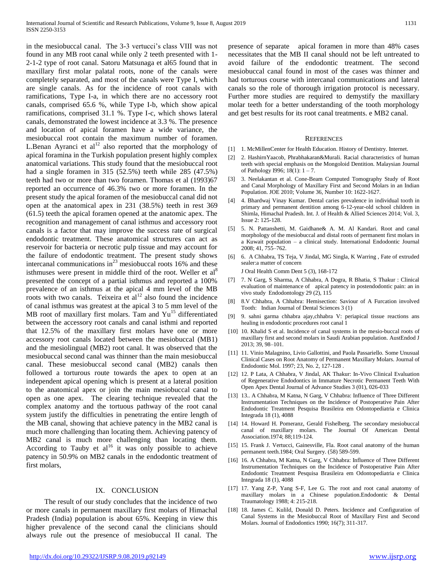in the mesiobuccal canal. The 3-3 vertucci's class VIII was not found in any MB root canal while only 2 teeth presented with 1- 2-1-2 type of root canal. Satoru Matsunaga et al65 found that in maxillary first molar palatal roots, none of the canals were completely separated, and most of the canals were Type I, which are single canals. As for the incidence of root canals with ramifications, Type I-a, in which there are no accessory root canals, comprised 65.6 %, while Type I-b, which show apical ramifications, comprised 31.1 %. Type I-c, which shows lateral canals, demonstrated the lowest incidence at 3.3 %. The presence and location of apical foramen have a wide variance, the mesiobuccal root contain the maximum number of foramen. L.Benan Ayranci et  $al<sup>12</sup>$  also reported that the morphology of apical foramina in the Turkish population present highly complex anatomical variations. This study found that the mesiobuccal root had a single foramen in 315 (52.5%) teeth while 285 (47.5%) teeth had two or more than two foramen. Thomas et al (1993)67 reported an occurrence of 46.3% two or more foramen. In the present study the apical foramen of the mesiobuccal canal did not open at the anatomical apex in 231 (38.5%) teeth in rest 369 (61.5) teeth the apical foramen opened at the anatomic apex. The recognition and management of canal isthmus and accessory root canals is a factor that may improve the success rate of surgical endodontic treatment. These anatomical structures can act as reservoir for bacteria or necrotic pulp tissue and may account for the failure of endodontic treatment. The present study shows intercanal communications in $^{23}$  mesiobuccal roots 16% and these isthmuses were present in middle third of the root. Weller et al<sup>8</sup> presented the concept of a partial isthmus and reported a 100% prevalence of an isthmus at the apical 4 mm level of the MB roots with two canals. Teixeira et  $al<sup>12</sup>$  also found the incidence of canal isthmus was greatest at the apical 3 to 5 mm level of the MB root of maxillary first molars. Tam and Yu<sup>15</sup> differentiated between the accessory root canals and canal isthmi and reported that 12.5% of the maxillary first molars have one or more accessory root canals located between the mesiobuccal (MB1) and the mesiolingual (MB2) root canal. It was observed that the mesiobuccal second canal was thinner than the main mesiobuccal canal. These mesiobuccal second canal (MB2) canals then followed a torturous route towards the apex to open at an independent apical opening which is present at a lateral position to the anatomical apex or join the main mesiobuccal canal to open as one apex. The clearing technique revealed that the complex anatomy and the tortuous pathway of the root canal system justify the difficulties in penetrating the entire length of the MB canal, showing that achieve patency in the MB2 canal is much more challenging than locating them. Achieving patency of MB2 canal is much more challenging than locating them. According to Tauby et  $al^{16}$  it was only possible to achieve patency in 50.9% on MB2 canals in the endodontic treatment of first molars,

# IX. CONCLUSION

 The result of our study concludes that the incidence of two or more canals in permanent maxillary first molars of Himachal Pradesh (India) population is about 65%. Keeping in view this higher prevalence of the second canal the clinicians should always rule out the presence of mesiobuccal II canal. The presence of separate apical foramen in more than 48% cases necessitates that the MB II canal should not be left untreated to avoid failure of the endodontic treatment. The second mesiobuccal canal found in most of the cases was thinner and had torturous course with intercanal communications and lateral canals so the role of thorough irrigation protocol is necessary. Further more studies are required to demystify the maxillary molar teeth for a better understanding of the tooth morphology and get best results for its root canal treatments. e MB2 canal.

#### **REFERENCES**

- [1] 1. McMillenCenter for Health Education. History of Dentistry. Internet.
- [2] 2. HashirnYaacob, Phrabhakaran&Murali. Racial characteristics of human teeth with special emphasis on the Mongoloid Dentition. Malaysian Journal of Pathology I996; 18(1): 1 – 7.
- [3] 3. Neelakantan et al. Cone-Beam Computed Tomography Study of Root and Canal Morphology of Maxillary First and Second Molars in an Indian Population. JOE 2010; Volume 36, Number 10: 1622-1627.
- [4] 4. Bhardwaj Vinay Kumar. Dental caries prevalence in individual tooth in primary and permanent dentition among 6-12-year-old school children in Shimla, Himachal Pradesh. Int. J. of Health & Allied Sciences 2014; Vol. 3, Issue 2: 125-128.
- [5] 5. N. Pattanshetti, M. Gaidhane& A. M. Al Kandari. Root and canal morphology of the mesiobuccal and distal roots of permanent first molars in a Kuwait population – a clinical study. International Endodontic Journal 2008; 41, 755–762.
- [6] 6. A Chhabra, TS Teja, V Jindal, MG Singla, K Warring , Fate of extruded sealer:a matter of concern

J Oral Health Comm Dent 5 (3), 168-172

- [7] 7. N Garg, S Sharma, A Chhabra, A Dogra, R Bhatia, S Thakur : Clinical evaluation of maintenance of apical patency in postendodontic pain: an in vivo study Endodontology 29 (2), 115
- [8] 8.V Chhabra, A Chhabra: Hemisection: Saviour of A Furcation involved Tooth: Indian Journal of Dental Sciences 3 (1)
- [9] 9. sahni garma chhabra ajay,chhabra V: periapical tissue reactions ans healing in endodontic procedures root canal 1
- [10] 10. Khalid S et al. Incidence of canal systems in the mesio-buccal roots of maxillary first and second molars in Saudi Arabian population. AustEndod J 2013; 39, 98–101.
- [11] 11. Vinio Malagnino, Livio Gallottini, and Paola Passariello. Some Unusual Clinical Cases on Root Anatomy of Permanent Maxillary Molars. Journal of Endodontic Mol. 1997; 23, No. 2, 127-128 .
- [12] 12. P Lata, A Chhabra, V Jindal, AK Thakur: In-Vivo Clinical Evaluation of Regenerative Endodontics in Immature Necrotic Permanent Teeth With Open Apex Dental Journal of Advance Studies 3 (01), 026-033
- [13] 13.. A Chhabra, M Katna, N Garg, V Chhabra: Influence of Three Different Instrumentation Techniques on the Incidence of Postoperative Pain After Endodontic Treatment Pesquisa Brasileira em Odontopediatria e Clinica Integrada 18 (1), 4088
- [14] 14. Howard H. Pomeranz, Gerald Fishelberg. The secondary mesiobuccal canal of maxillary molars. The Journal Of American Dental Association.1974; 88;119-124.
- [15] 15. Frank J. Vertucci, Gainesville, Fla. Root canal anatomy of the human permanent teeth.1984; Oral Surgery. (58) 589-599.
- [16] 16. A Chhabra, M Katna, N Garg, V Chhabra: Influence of Three Different Instrumentation Techniques on the Incidence of Postoperative Pain After Endodontic Treatment Pesquisa Brasileira em Odontopediatria e Clinica Integrada 18 (1), 4088
- [17] 17. Yang Z-P, Yang S-F, Lee G. The root and root canal anatomy of maxillary molars in a Chinese population.Endodontic & Dental Traumatology 1988; 4: 215-218.
- [18] 18. James C. Kulild, Donald D. Peters. Incidence and Configuration of Canal Systems in the Mesiobuccal Root of Maxillary First and Second Molars. Journal of Endodontics 1990; 16(7); 311-317.